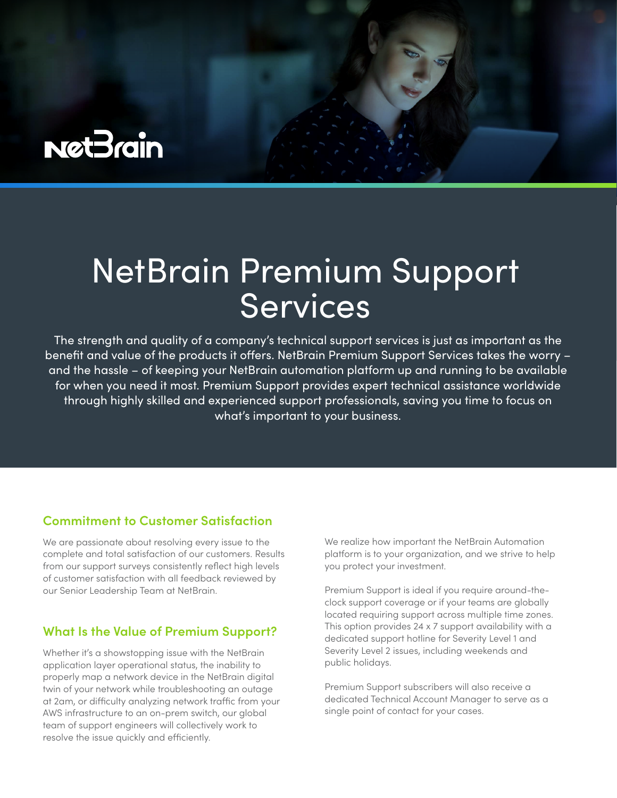

# NetBrain Premium Support **Services**

The strength and quality of a company's technical support services is just as important as the benefit and value of the products it offers. NetBrain Premium Support Services takes the worry – and the hassle – of keeping your NetBrain automation platform up and running to be available for when you need it most. Premium Support provides expert technical assistance worldwide through highly skilled and experienced support professionals, saving you time to focus on what's important to your business.

### **Commitment to Customer Satisfaction**

We are passionate about resolving every issue to the complete and total satisfaction of our customers. Results from our support surveys consistently reflect high levels of customer satisfaction with all feedback reviewed by our Senior Leadership Team at NetBrain.

# **What Is the Value of Premium Support?**

Whether it's a showstopping issue with the NetBrain application layer operational status, the inability to properly map a network device in the NetBrain digital twin of your network while troubleshooting an outage at 2am, or difficulty analyzing network traffic from your AWS infrastructure to an on-prem switch, our global team of support engineers will collectively work to resolve the issue quickly and efficiently.

We realize how important the NetBrain Automation platform is to your organization, and we strive to help you protect your investment.

Premium Support is ideal if you require around-theclock support coverage or if your teams are globally located requiring support across multiple time zones. This option provides 24 x 7 support availability with a dedicated support hotline for Severity Level 1 and Severity Level 2 issues, including weekends and public holidays.

Premium Support subscribers will also receive a dedicated Technical Account Manager to serve as a single point of contact for your cases.